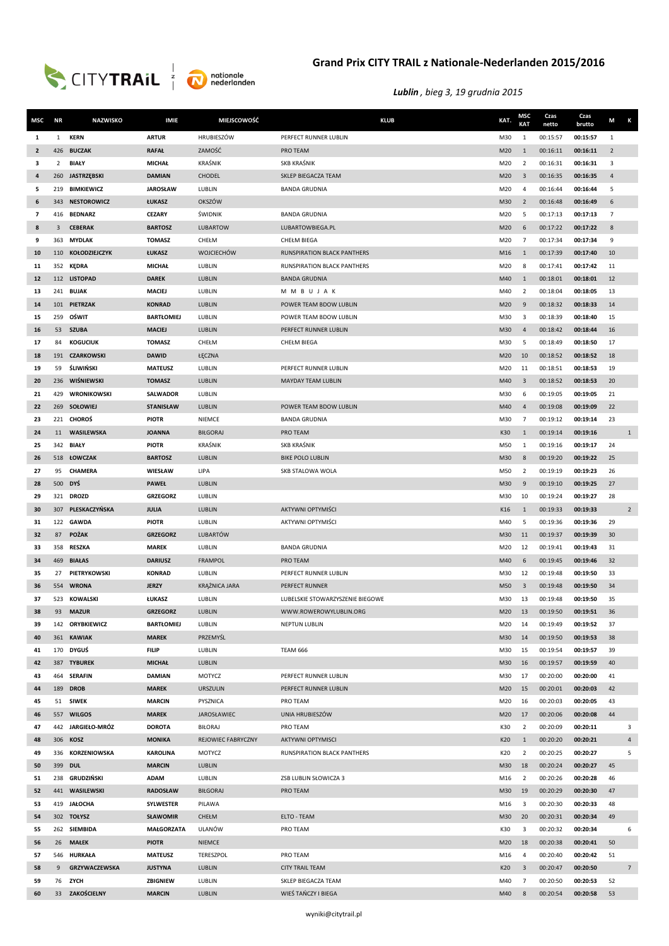



| MSC            | <b>NR</b>      | <b>NAZWISKO</b>              | <b>IMIE</b>                   | MIEJSCOWOŚĆ                    | <b>KLUB</b>                                        | KAT.       | MSC<br><b>KAT</b> | Czas<br>netto        | Czas<br>brutto       | M<br>К          |  |
|----------------|----------------|------------------------------|-------------------------------|--------------------------------|----------------------------------------------------|------------|-------------------|----------------------|----------------------|-----------------|--|
| 1              | $\mathbf{1}$   | <b>KERN</b>                  | <b>ARTUR</b>                  | <b>HRUBIESZÓW</b>              | PERFECT RUNNER LUBLIN                              | M30        | $\mathbf{1}$      | 00:15:57             | 00:15:57             | $\mathbf{1}$    |  |
| $\overline{2}$ | 426            | <b>BUCZAK</b>                | <b>RAFAŁ</b>                  | ZAMOŚĆ                         | PRO TEAM                                           | M20        | 1                 | 00:16:11             | 00:16:11             | $\overline{2}$  |  |
| 3              | $\overline{2}$ | BIAŁY                        | <b>MICHAŁ</b>                 | KRAŚNIK                        | SKB KRAŚNIK                                        | M20        | $\overline{2}$    | 00:16:31             | 00:16:31             | $\overline{3}$  |  |
| 4              |                | 260 JASTRZĘBSKI              | <b>DAMIAN</b>                 | <b>CHODEL</b>                  | SKLEP BIEGACZA TEAM                                | M20        | $\overline{3}$    | 00:16:35             | 00:16:35             | $\overline{4}$  |  |
| 5              | 219            | <b>BIMKIEWICZ</b>            | <b>JAROSŁAW</b>               | LUBLIN                         | <b>BANDA GRUDNIA</b>                               | M20        | 4                 | 00:16:44             | 00:16:44             | 5               |  |
| 6              | 343            | <b>NESTOROWICZ</b>           | ŁUKASZ                        | <b>OKSZÓW</b>                  |                                                    | M30        | $\overline{2}$    | 00:16:48             | 00:16:49             | 6               |  |
| $\overline{7}$ | 416            | <b>BEDNARZ</b>               | <b>CEZARY</b>                 | ŚWIDNIK                        | <b>BANDA GRUDNIA</b>                               | M20        | 5                 | 00:17:13             | 00:17:13             | $\overline{7}$  |  |
| 8              | $\mathbf{3}$   | <b>CEBERAK</b>               | <b>BARTOSZ</b>                | <b>LUBARTOW</b>                | LUBARTOWBIEGA.PL                                   | M20        | 6                 | 00:17:22             | 00:17:22             | 8               |  |
| 9              | 363            | <b>MYDLAK</b>                | <b>TOMASZ</b>                 | CHEŁM                          | CHEŁM BIEGA                                        | M20        | $\overline{7}$    | 00:17:34             | 00:17:34             | 9               |  |
| 10             |                | 110 KOŁODZIEJCZYK            | ŁUKASZ                        | <b>WOJCIECHÓW</b>              | <b>RUNSPIRATION BLACK PANTHERS</b>                 | M16        | 1                 | 00:17:39             | 00:17:40             | 10              |  |
| 11             | 352            | KĘDRA                        | <b>MICHAŁ</b>                 | LUBLIN                         | RUNSPIRATION BLACK PANTHERS                        | M20        | 8                 | 00:17:41             | 00:17:42             | 11              |  |
| 12             |                | 112 LISTOPAD                 | <b>DAREK</b>                  | LUBLIN                         | <b>BANDA GRUDNIA</b>                               | M40        | $\mathbf{1}$      | 00:18:01             | 00:18:01             | 12              |  |
| 13             |                | 241 BUJAK                    | MACIEJ                        | LUBLIN                         | MMBUJAK                                            | M40        | $\overline{2}$    | 00:18:04             | 00:18:05             | 13              |  |
| 14             |                | 101 PIETRZAK                 | <b>KONRAD</b>                 | <b>LUBLIN</b>                  | POWER TEAM BDOW LUBLIN                             | M20        | 9                 | 00:18:32             | 00:18:33             | 14              |  |
| 15             | 259            | OŚWIT                        | <b>BARTŁOMIEJ</b>             | LUBLIN                         | POWER TEAM BDOW LUBLIN                             | M30        | 3                 | 00:18:39             | 00:18:40             | 15              |  |
| 16             | 53             | <b>SZUBA</b>                 | <b>MACIEJ</b>                 | <b>LUBLIN</b>                  | PERFECT RUNNER LUBLIN                              | M30        | 4                 | 00:18:42             | 00:18:44             | 16              |  |
| 17             | 84             | <b>KOGUCIUK</b>              | <b>TOMASZ</b>                 | CHEŁM                          | <b>CHEŁM BIEGA</b>                                 | M30        | 5                 | 00:18:49             | 00:18:50             | 17              |  |
| 18             |                | 191 CZARKOWSKI               | <b>DAWID</b>                  | ŁĘCZNA                         |                                                    | M20        | 10                | 00:18:52             | 00:18:52             | 18              |  |
| 19             | 59             | ŚLIWIŃSKI                    | <b>MATEUSZ</b>                | LUBLIN                         | PERFECT RUNNER LUBLIN                              | M20        | 11                | 00:18:51             | 00:18:53             | 19              |  |
| 20             | 236            | WIŚNIEWSKI                   | <b>TOMASZ</b>                 | LUBLIN                         | <b>MAYDAY TEAM LUBLIN</b>                          | M40        | 3                 | 00:18:52             | 00:18:53             | 20              |  |
| 21             | 429            | WRONIKOWSKI                  | <b>SALWADOR</b>               | LUBLIN                         |                                                    | M30        | 6                 | 00:19:05             | 00:19:05             | 21              |  |
| 22             |                | 269 SOŁOWIEJ                 | <b>STANISŁAW</b>              | LUBLIN                         | POWER TEAM BDOW LUBLIN                             | M40        | $\overline{a}$    | 00:19:08             | 00:19:09             | 22              |  |
| 23             |                | 221 CHOROŚ                   | <b>PIOTR</b>                  | <b>NIEMCE</b>                  | <b>BANDA GRUDNIA</b>                               | M30        | $\overline{7}$    | 00:19:12             | 00:19:14             | 23              |  |
| 24             | 11             | <b>WASILEWSKA</b>            | <b>JOANNA</b>                 | <b>BIŁGORAJ</b>                | PRO TEAM                                           | K30        | 1                 | 00:19:14             | 00:19:16             | $\overline{1}$  |  |
| 25             | 342            | BIAŁY                        | <b>PIOTR</b>                  | <b>KRAŚNIK</b>                 | <b>SKB KRAŚNIK</b>                                 | M50        | 1                 | 00:19:16             | 00:19:17             | 24              |  |
| 26             |                | 518 ŁOWCZAK                  | <b>BARTOSZ</b>                | LUBLIN                         | <b>BIKE POLO LUBLIN</b>                            | M30        | 8                 | 00:19:20             | 00:19:22             | 25              |  |
| 27             | 95             | <b>CHAMERA</b>               | WIESŁAW                       | LIPA                           | SKB STALOWA WOLA                                   | M50        | $\overline{2}$    | 00:19:19             | 00:19:23             | 26              |  |
| 28             | 500            | DYŚ                          | <b>PAWEŁ</b>                  | LUBLIN                         |                                                    | M30        | 9                 | 00:19:10             | 00:19:25             | 27              |  |
| 29             |                | 321 DROZD                    | <b>GRZEGORZ</b>               | LUBLIN                         |                                                    | M30        | 10                | 00:19:24             | 00:19:27             | 28              |  |
| 30             |                | 307 PLESKACZYŃSKA            | JULIA                         | LUBLIN                         | <b>AKTYWNI OPTYMIŚCI</b>                           | K16        | 1                 | 00:19:33             | 00:19:33             | $\overline{2}$  |  |
| 31             |                | 122 GAWDA                    | <b>PIOTR</b>                  | LUBLIN                         | AKTYWNI OPTYMIŚCI                                  | M40        | -5                | 00:19:36             | 00:19:36             | 29              |  |
| 32             | 87             | <b>POŻAK</b>                 | <b>GRZEGORZ</b>               | <b>LUBARTÓW</b>                |                                                    | M30        | 11                | 00:19:37             | 00:19:39             | 30              |  |
| 33             | 358            | <b>RESZKA</b>                | <b>MAREK</b>                  | LUBLIN                         | <b>BANDA GRUDNIA</b>                               | M20        | 12                | 00:19:41             | 00:19:43             | 31              |  |
| 34             |                | 469 BIAŁAS                   | <b>DARIUSZ</b>                | <b>FRAMPOL</b>                 | PRO TEAM                                           | M40        | 6                 | 00:19:45             | 00:19:46             | 32              |  |
| 35             | 27             | PIETRYKOWSKI<br><b>WRONA</b> | <b>KONRAD</b><br><b>JERZY</b> | LUBLIN                         | PERFECT RUNNER LUBLIN                              | M30        | 12                | 00:19:48             | 00:19:50             | 33              |  |
| 36<br>37       | 554<br>523     | KOWALSKI                     | ŁUKASZ                        | <b>KRĄŻNICA JARA</b><br>LUBLIN | PERFECT RUNNER<br>LUBELSKIE STOWARZYSZENIE BIEGOWE | M50<br>M30 | 3<br>13           | 00:19:48<br>00:19:48 | 00:19:50<br>00:19:50 | 34<br>35        |  |
| 38             |                | 93 MAZUR                     | <b>GRZEGORZ</b>               | LUBLIN                         | WWW.ROWFROWYLUBLIN.ORG                             | M20        | 13                | 00:19:50             | 00:19:51             | 36              |  |
| 39             |                | 142 ORYBKIEWICZ              | <b>BARTŁOMIEJ</b>             | LUBLIN                         | <b>NEPTUN LUBLIN</b>                               | M20        | 14                | 00:19:49             | 00:19:52             | 37              |  |
| 40             |                | 361 KAWIAK                   | <b>MAREK</b>                  | PRZEMYŚL                       |                                                    | M30        | 14                | 00:19:50             | 00:19:53             | 38              |  |
| 41             |                | 170 DYGUŚ                    | <b>FILIP</b>                  | LUBLIN                         | <b>TEAM 666</b>                                    | M30        | 15                | 00:19:54             | 00:19:57             | 39              |  |
| 42             |                | 387 TYBUREK                  | <b>MICHAŁ</b>                 | LUBLIN                         |                                                    | M30        | 16                | 00:19:57             | 00:19:59             | 40              |  |
| 43             |                | 464 SERAFIN                  | <b>DAMIAN</b>                 | MOTYCZ                         | PERFECT RUNNER LUBLIN                              | M30        | 17                | 00:20:00             | 00:20:00             | 41              |  |
| 44             |                | 189 DROB                     | <b>MAREK</b>                  | <b>URSZULIN</b>                | PERFECT RUNNER LUBLIN                              | M20        | 15                | 00:20:01             | 00:20:03             | 42              |  |
| 45             |                | 51 SIWEK                     | <b>MARCIN</b>                 | PYSZNICA                       | PRO TEAM                                           | M20        | 16                | 00:20:03             | 00:20:05             | 43              |  |
| 46             |                | 557 WILGOS                   | <b>MAREK</b>                  | JAROSŁAWIEC                    | UNIA HRUBIESZÓW                                    | M20        | 17                | 00:20:06             | 00:20:08             | 44              |  |
| 47             |                | 442 JARGIEŁO-MRÓZ            | <b>DOROTA</b>                 | BIŁORAJ                        | PRO TEAM                                           | K30        | $\overline{2}$    | 00:20:09             | 00:20:11             | 3               |  |
| 48             |                | 306 KOSZ                     | <b>MONIKA</b>                 | <b>REJOWIEC FABRYCZNY</b>      | <b>AKTYWNI OPTYMISCI</b>                           | K20        | $\mathbf{1}$      | 00:20:20             | 00:20:21             | $\overline{4}$  |  |
| 49             |                | 336 KORZENIOWSKA             | <b>KAROLINA</b>               | MOTYCZ                         | RUNSPIRATION BLACK PANTHERS                        | K20        | $\overline{2}$    | 00:20:25             | 00:20:27             | 5               |  |
| 50             |                | 399 DUL                      | <b>MARCIN</b>                 | LUBLIN                         |                                                    | M30        | 18                | 00:20:24             | 00:20:27             | 45              |  |
| 51             |                | 238 GRUDZIŃSKI               | <b>ADAM</b>                   | LUBLIN                         | ZSB LUBLIN SŁOWICZA 3                              | M16        | $\overline{2}$    | 00:20:26             | 00:20:28             | 46              |  |
| 52             |                | 441 WASILEWSKI               | <b>RADOSŁAW</b>               | <b>BIŁGORAJ</b>                | PRO TEAM                                           | M30        | 19                | 00:20:29             | 00:20:30             | 47              |  |
| 53             |                | 419 JAŁOCHA                  | SYLWESTER                     | PILAWA                         |                                                    | M16        | 3                 | 00:20:30             | 00:20:33             | 48              |  |
| 54             |                | 302 TOŁYSZ                   | <b>SŁAWOMIR</b>               | CHEŁM                          | ELTO - TEAM                                        | M30        | 20                | 00:20:31             | 00:20:34             | 49              |  |
| 55             |                | 262 SIEMBIDA                 | <b>MAŁGORZATA</b>             | <b>ULANÓW</b>                  | PRO TEAM                                           | K30        | 3                 | 00:20:32             | 00:20:34             | 6               |  |
| 56             |                | 26 MAŁEK                     | <b>PIOTR</b>                  | <b>NIEMCE</b>                  |                                                    | M20        | 18                | 00:20:38             | 00:20:41             | 50              |  |
| 57             |                | 546 HURKAŁA                  | <b>MATEUSZ</b>                | TERESZPOL                      | PRO TEAM                                           | M16        | 4                 | 00:20:40             | 00:20:42             | 51              |  |
| 58             | 9              | GRZYWACZEWSKA                | <b>JUSTYNA</b>                | LUBLIN                         | <b>CITY TRAIL TEAM</b>                             | K20        | $\overline{3}$    | 00:20:47             | 00:20:50             | $7\overline{ }$ |  |
| 59             |                | 76 ZYCH                      | ZBIGNIEW                      | LUBLIN                         | SKLEP BIEGACZA TEAM                                | M40        | 7                 | 00:20:50             | 00:20:53             | 52              |  |
| 60             |                | 33 ZAKOŚCIELNY               | <b>MARCIN</b>                 | LUBLIN                         | WIEŚ TAŃCZY I BIEGA                                | M40        | 8                 | 00:20:54             | 00:20:58             | 53              |  |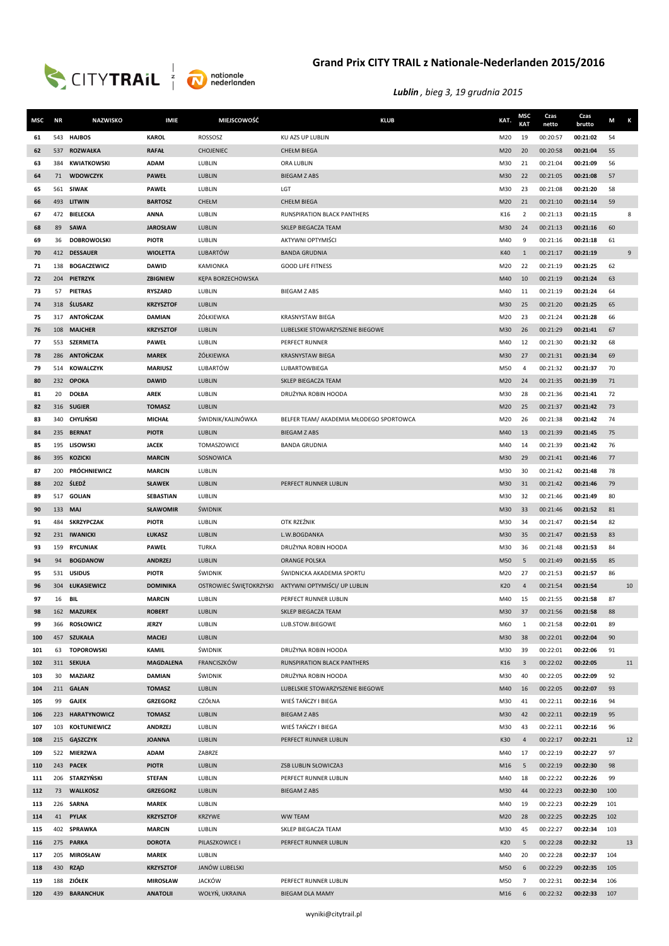



| MSC | <b>NR</b> | <b>NAZWISKO</b>     | <b>IMIE</b>      | MIEJSCOWOŚĆ             | <b>KLUB</b>                             | KAT.       | <b>MSC</b><br><b>KAT</b> | Czas<br>netto | Czas<br>brutto | M   | K  |
|-----|-----------|---------------------|------------------|-------------------------|-----------------------------------------|------------|--------------------------|---------------|----------------|-----|----|
| 61  | 543       | <b>HAJBOS</b>       | <b>KAROL</b>     | ROSSOSZ                 | KU AZS UP LUBLIN                        | M20        | 19                       | 00:20:57      | 00:21:02       | 54  |    |
| 62  | 537       | <b>ROZWAŁKA</b>     | <b>RAFAŁ</b>     | <b>CHOJENIEC</b>        | <b>CHEŁM BIEGA</b>                      | M20        | 20                       | 00:20:58      | 00:21:04       | 55  |    |
| 63  | 384       | <b>KWIATKOWSKI</b>  | <b>ADAM</b>      | LUBLIN                  | ORA LUBLIN                              | M30        | 21                       | 00:21:04      | 00:21:09       | 56  |    |
| 64  | 71        | <b>WDOWCZYK</b>     | <b>PAWEŁ</b>     | LUBLIN                  | <b>BIEGAM Z ABS</b>                     | M30        | 22                       | 00:21:05      | 00:21:08       | 57  |    |
| 65  |           | 561 SIWAK           | <b>PAWEŁ</b>     | LUBLIN                  | LGT                                     | M30        | 23                       | 00:21:08      | 00:21:20       | 58  |    |
| 66  |           | 493 LITWIN          | <b>BARTOSZ</b>   | CHEŁM                   | <b>CHEŁM BIEGA</b>                      | M20        | 21                       | 00:21:10      | 00:21:14       | 59  |    |
| 67  |           | 472 BIELECKA        | <b>ANNA</b>      | LUBLIN                  | RUNSPIRATION BLACK PANTHERS             | K16        | 2                        | 00:21:13      | 00:21:15       |     | 8  |
| 68  | 89        | <b>SAWA</b>         | <b>JAROSŁAW</b>  | LUBLIN                  | SKLEP BIEGACZA TEAM                     | M30        | 24                       | 00:21:13      | 00:21:16       | 60  |    |
| 69  | 36        | <b>DOBROWOLSKI</b>  | <b>PIOTR</b>     | LUBLIN                  | <b>AKTYWNI OPTYMIŚCI</b>                | M40        | 9                        | 00:21:16      | 00:21:18       | 61  |    |
| 70  |           | 412 DESSAUER        | <b>WIOLETTA</b>  | LUBARTÓW                | <b>BANDA GRUDNIA</b>                    | K40        | 1                        | 00:21:17      | 00:21:19       |     | 9  |
| 71  | 138       | <b>BOGACZEWICZ</b>  | <b>DAWID</b>     | KAMIONKA                | <b>GOOD LIFE FITNESS</b>                | M20        | 22                       | 00:21:19      | 00:21:25       | 62  |    |
| 72  | 204       | PIETRZYK            | <b>ZBIGNIEW</b>  | KEPA BORZECHOWSKA       |                                         |            | 10                       | 00:21:19      | 00:21:24       | 63  |    |
| 73  | 57        | <b>PIETRAS</b>      | <b>RYSZARD</b>   | LUBLIN                  | <b>BIEGAM Z ABS</b>                     | M40<br>M40 | 11                       | 00:21:19      | 00:21:24       | 64  |    |
|     |           |                     |                  |                         |                                         |            |                          |               |                |     |    |
| 74  |           | 318 SLUSARZ         | <b>KRZYSZTOF</b> | LUBLIN                  |                                         | M30        | 25                       | 00:21:20      | 00:21:25       | 65  |    |
| 75  |           | 317 ANTOŃCZAK       | <b>DAMIAN</b>    | ŻÓŁKIEWKA               | <b>KRASNYSTAW BIEGA</b>                 | M20        | 23                       | 00:21:24      | 00:21:28       | 66  |    |
| 76  | 108       | <b>MAJCHER</b>      | <b>KRZYSZTOF</b> | LUBLIN                  | LUBELSKIE STOWARZYSZENIE BIEGOWE        | M30        | 26                       | 00:21:29      | 00:21:41       | 67  |    |
| 77  | 553       | <b>SZERMETA</b>     | <b>PAWEŁ</b>     | LUBLIN                  | PERFECT RUNNER                          | M40        | 12                       | 00:21:30      | 00:21:32       | 68  |    |
| 78  | 286       | <b>ANTOŃCZAK</b>    | <b>MAREK</b>     | ŻÓŁKIEWKA               | <b>KRASNYSTAW BIEGA</b>                 | M30        | 27                       | 00:21:31      | 00:21:34       | 69  |    |
| 79  |           | 514 KOWALCZYK       | <b>MARIUSZ</b>   | LUBARTÓW                | LUBARTOWBIEGA                           | M50        | 4                        | 00:21:32      | 00:21:37       | 70  |    |
| 80  |           | 232 OPOKA           | <b>DAWID</b>     | LUBLIN                  | SKLEP BIEGACZA TEAM                     | M20        | 24                       | 00:21:35      | 00:21:39       | 71  |    |
| 81  | 20        | <b>DOŁBA</b>        | <b>AREK</b>      | LUBLIN                  | DRUŻYNA ROBIN HOODA                     | M30        | 28                       | 00:21:36      | 00:21:41       | 72  |    |
| 82  |           | 316 SUGIER          | <b>TOMASZ</b>    | LUBLIN                  |                                         | M20        | 25                       | 00:21:37      | 00:21:42       | 73  |    |
| 83  | 340       | CHYLIŃSKI           | <b>MICHAŁ</b>    | ŚWIDNIK/KALINÓWKA       | BELFER TEAM/ AKADEMIA MŁODEGO SPORTOWCA | M20        | 26                       | 00:21:38      | 00:21:42       | 74  |    |
| 84  | 235       | <b>BERNAT</b>       | <b>PIOTR</b>     | LUBLIN                  | <b>BIEGAM Z ABS</b>                     | M40        | 13                       | 00:21:39      | 00:21:45       | 75  |    |
| 85  | 195       | <b>LISOWSKI</b>     | <b>JACEK</b>     | TOMASZOWICE             | <b>BANDA GRUDNIA</b>                    | M40        | 14                       | 00:21:39      | 00:21:42       | 76  |    |
| 86  | 395       | <b>KOZICKI</b>      | <b>MARCIN</b>    | SOSNOWICA               |                                         | M30        | 29                       | 00:21:41      | 00:21:46       | 77  |    |
| 87  | 200       | PRÓCHNIEWICZ        | <b>MARCIN</b>    | LUBLIN                  |                                         | M30        | 30                       | 00:21:42      | 00:21:48       | 78  |    |
| 88  |           | 202 ŚLEDŹ           | <b>SŁAWEK</b>    | LUBLIN                  | PERFECT RUNNER LUBLIN                   | M30        | 31                       | 00:21:42      | 00:21:46       | 79  |    |
| 89  |           | 517 GOLIAN          | SEBASTIAN        | LUBLIN                  |                                         | M30        | 32                       | 00:21:46      | 00:21:49       | 80  |    |
| 90  |           | 133 <b>MAJ</b>      | <b>SŁAWOMIR</b>  | ŚWIDNIK                 |                                         | M30        | 33                       | 00:21:46      | 00:21:52       | 81  |    |
| 91  |           | 484 SKRZYPCZAK      | <b>PIOTR</b>     | LUBLIN                  | OTK RZEŹNIK                             | M30        | 34                       | 00:21:47      | 00:21:54       | 82  |    |
| 92  |           | 231 IWANICKI        | ŁUKASZ           | LUBLIN                  | L.W.BOGDANKA                            | M30        | 35                       | 00:21:47      | 00:21:53       | 83  |    |
| 93  |           | 159 RYCUNIAK        | <b>PAWEŁ</b>     | <b>TURKA</b>            | DRUŻYNA ROBIN HOODA                     | M30        | 36                       | 00:21:48      | 00:21:53       | 84  |    |
| 94  | 94        | <b>BOGDANOW</b>     | <b>ANDRZEJ</b>   | LUBLIN                  | <b>ORANGE POLSKA</b>                    | M50        | 5                        | 00:21:49      | 00:21:55       | 85  |    |
| 95  | 531       | <b>USIDUS</b>       | <b>PIOTR</b>     | <b>ŚWIDNIK</b>          | ŚWIDNICKA AKADEMIA SPORTU               | M20        | 27                       | 00:21:53      | 00:21:57       | 86  |    |
| 96  |           | 304 ŁUKASIEWICZ     | <b>DOMINIKA</b>  | OSTROWIEC ŚWIĘTOKRZYSKI | AKTYWNI OPTYMIŚCI/ UP LUBLIN            | K20        | $\overline{a}$           | 00:21:54      | 00:21:54       |     | 10 |
| 97  | 16        | BIL                 | <b>MARCIN</b>    | LUBLIN                  | PERFECT RUNNER LUBLIN                   | M40        | 15                       | 00:21:55      | 00:21:58       | 87  |    |
| 98  |           | 162 MAZUREK         | <b>ROBERT</b>    | LUBLIN                  | SKLEP BIEGACZA TEAM                     | M30        | 37                       | 00:21:56      | 00:21:58       | 88  |    |
| 99  |           | 366 ROSŁOWICZ       | <b>JERZY</b>     | LUBLIN                  | LUB.STOW.BIEGOWE                        | M60        | 1                        | 00:21:58      | 00:22:01       | 89  |    |
| 100 |           | 457 SZUKAŁA         | <b>MACIEJ</b>    | LUBLIN                  |                                         | M30        | 38                       | 00:22:01      | 00:22:04       | 90  |    |
| 101 |           | 63 TOPOROWSKI       | <b>KAMIL</b>     | ŚWIDNIK                 | DRUŻYNA ROBIN HOODA                     | M30        | 39                       | 00:22:01      | 00:22:06       | 91  |    |
| 102 |           | 311 SEKUŁA          | <b>MAGDALENA</b> | FRANCISZKÓW             | RUNSPIRATION BLACK PANTHERS             | K16        | 3                        | 00:22:02      | 00:22:05       |     | 11 |
| 103 | 30        | <b>MAZIARZ</b>      | <b>DAMIAN</b>    | ŚWIDNIK                 | DRUŻYNA ROBIN HOODA                     | M30        | 40                       | 00:22:05      | 00:22:09       | 92  |    |
| 104 |           | 211 GAŁAN           | <b>TOMASZ</b>    | LUBLIN                  | LUBELSKIE STOWARZYSZENIE BIEGOWE        | M40        | 16                       | 00:22:05      | 00:22:07       | 93  |    |
| 105 | 99        | <b>GAJEK</b>        | <b>GRZEGORZ</b>  | CZÓŁNA                  | WIEŚ TAŃCZY I BIEGA                     | M30        | 41                       | 00:22:11      | 00:22:16       | 94  |    |
| 106 |           | 223 HARATYNOWICZ    | <b>TOMASZ</b>    | LUBLIN                  | <b>BIEGAM Z ABS</b>                     | M30        | 42                       | 00:22:11      | 00:22:19       | 95  |    |
| 107 | 103       | <b>KOŁTUNIEWICZ</b> | <b>ANDRZEJ</b>   | LUBLIN                  | WIEŚ TAŃCZY I BIEGA                     | M30        | 43                       | 00:22:11      | 00:22:16       | 96  |    |
| 108 |           | 215 GĄSZCZYK        | <b>JOANNA</b>    | LUBLIN                  | PERFECT RUNNER LUBLIN                   | K30        | $\overline{4}$           | 00:22:17      | 00:22:21       |     | 12 |
| 109 |           | 522 MIERZWA         | <b>ADAM</b>      | ZABRZE                  |                                         | M40        | 17                       | 00:22:19      | 00:22:27       | 97  |    |
| 110 |           | 243 PACEK           | <b>PIOTR</b>     | LUBLIN                  | ZSB LUBLIN SŁOWICZA3                    | M16        | 5                        | 00:22:19      | 00:22:30       | 98  |    |
| 111 |           | 206 STARZYŃSKI      | <b>STEFAN</b>    | LUBLIN                  | PERFECT RUNNER LUBLIN                   | M40        | 18                       | 00:22:22      | 00:22:26       | 99  |    |
| 112 | 73        | <b>WALLKOSZ</b>     | <b>GRZEGORZ</b>  | LUBLIN                  | <b>BIEGAM Z ABS</b>                     | M30        | 44                       | 00:22:23      | 00:22:30       | 100 |    |
| 113 |           | 226 SARNA           | <b>MAREK</b>     | LUBLIN                  |                                         | M40        | 19                       | 00:22:23      | 00:22:29       | 101 |    |
| 114 | 41        | <b>PYLAK</b>        | <b>KRZYSZTOF</b> | <b>KRZYWE</b>           | <b>WW TEAM</b>                          | M20        | 28                       | 00:22:25      | 00:22:25       | 102 |    |
| 115 |           | 402 SPRAWKA         | <b>MARCIN</b>    | LUBLIN                  | SKLEP BIEGACZA TEAM                     | M30        | 45                       | 00:22:27      | 00:22:34       | 103 |    |
| 116 |           | 275 PARKA           | <b>DOROTA</b>    | PILASZKOWICE I          | PERFECT RUNNER LUBLIN                   | K20        | 5                        | 00:22:28      | 00:22:32       |     | 13 |
| 117 | 205       | <b>MIROSŁAW</b>     | <b>MAREK</b>     | LUBLIN                  |                                         | M40        | 20                       | 00:22:28      | 00:22:37       | 104 |    |
| 118 | 430       | <b>RZĄD</b>         | <b>KRZYSZTOF</b> | JANÓW LUBELSKI          |                                         | M50        | 6                        | 00:22:29      | 00:22:35       | 105 |    |
| 119 |           | 188 ZIÓŁEK          | <b>MIROSŁAW</b>  | <b>JACKÓW</b>           | PERFECT RUNNER LUBLIN                   | M50        | 7                        | 00:22:31      | 00:22:34       | 106 |    |
| 120 |           | 439 BARANCHUK       | <b>ANATOLII</b>  | WOŁYŃ, UKRAINA          | <b>BIEGAM DLA MAMY</b>                  | M16        | 6                        | 00:22:32      | 00:22:33       | 107 |    |
|     |           |                     |                  |                         |                                         |            |                          |               |                |     |    |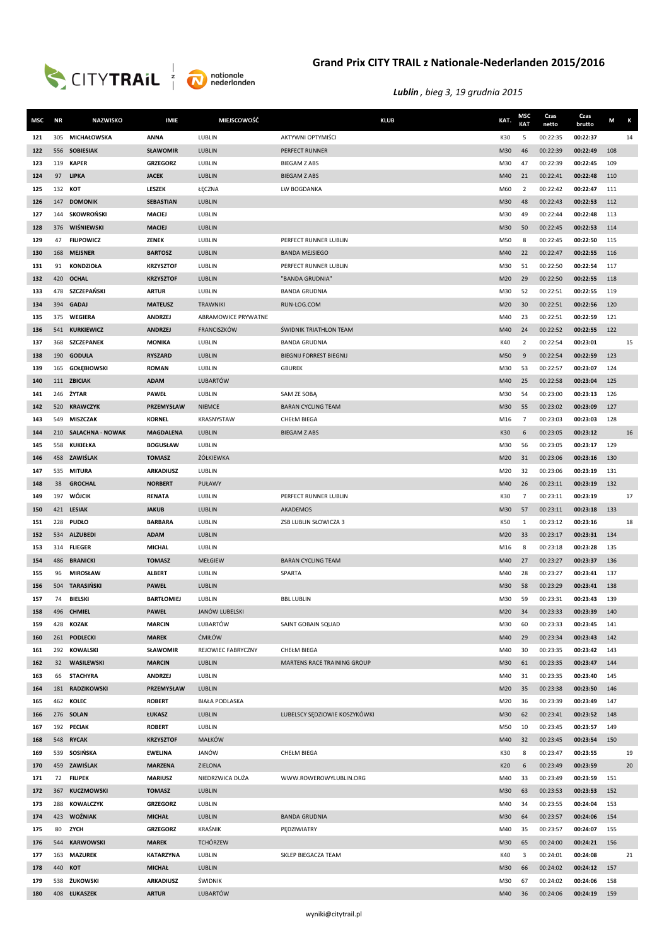



| MSC        | <b>NR</b> | <b>NAZWISKO</b>               | <b>IMIE</b>                        | MIEJSCOWOŚĆ            | <b>KLUB</b>                    | KAT.       | <b>MSC</b><br><b>KAT</b> | Czas<br>netto        | Czas<br>brutto       | M          | К  |
|------------|-----------|-------------------------------|------------------------------------|------------------------|--------------------------------|------------|--------------------------|----------------------|----------------------|------------|----|
| 121        | 305       | <b>MICHAŁOWSKA</b>            | <b>ANNA</b>                        | LUBLIN                 | AKTYWNI OPTYMIŚCI              | K30        | 5                        | 00:22:35             | 00:22:37             |            | 14 |
| 122        |           | 556 SOBIESIAK                 | <b>SŁAWOMIR</b>                    | LUBLIN                 | PERFECT RUNNER                 | M30        | 46                       | 00:22:39             | 00:22:49             | 108        |    |
| 123        | 119       | <b>KAPER</b>                  | <b>GRZEGORZ</b>                    | LUBLIN                 | <b>BIEGAM Z ABS</b>            | M30        | 47                       | 00:22:39             | 00:22:45             | 109        |    |
| 124        | 97        | <b>LIPKA</b>                  | <b>JACEK</b>                       | LUBLIN                 | <b>BIEGAM Z ABS</b>            | M40        | 21                       | 00:22:41             | 00:22:48             | 110        |    |
| 125        | 132       | кот                           | LESZEK                             | ŁĘCZNA                 | LW BOGDANKA                    | M60        | 2                        | 00:22:42             | 00:22:47             | 111        |    |
| 126        |           | 147 DOMONIK                   | <b>SEBASTIAN</b>                   | LUBLIN                 |                                | M30        | 48                       | 00:22:43             | 00:22:53             | 112        |    |
| 127        | 144       | SKOWROŃSKI                    | MACIEJ                             | LUBLIN                 |                                | M30        | 49                       | 00:22:44             | 00:22:48             | 113        |    |
| 128        |           | 376 WIŚNIEWSKI                | <b>MACIEJ</b>                      | LUBLIN                 |                                | M30        | 50                       | 00:22:45             | 00:22:53             | 114        |    |
| 129        |           | 47 FILIPOWICZ                 | ZENEK                              | LUBLIN                 | PERFECT RUNNER LUBLIN          | M50        | 8                        | 00:22:45             | 00:22:50             | 115        |    |
| 130        | 168       | <b>MEJSNER</b>                | <b>BARTOSZ</b>                     | LUBLIN                 | <b>BANDA MEJSIEGO</b>          | M40        | 22                       | 00:22:47             | 00:22:55             | 116        |    |
| 131        | 91        | <b>KONDZIOŁA</b>              | <b>KRZYSZTOF</b>                   | LUBLIN                 | PERFECT RUNNER LUBLIN          | M30        | 51                       | 00:22:50             | 00:22:54             | 117        |    |
| 132        |           | 420 OCHAL                     | <b>KRZYSZTOF</b>                   | LUBLIN                 | "BANDA GRUDNIA"                | M20        | 29                       | 00:22:50             | 00:22:55             | 118        |    |
| 133        |           | 478 SZCZEPAŃSKI               | <b>ARTUR</b>                       | LUBLIN                 | <b>BANDA GRUDNIA</b>           | M30        | 52                       | 00:22:51             | 00:22:55             | 119        |    |
| 134        |           | 394 GADAJ                     | <b>MATEUSZ</b>                     | <b>TRAWNIKI</b>        | RUN-LOG.COM                    | M20        | 30                       | 00:22:51             | 00:22:56             | 120        |    |
| 135        | 375       | <b>WEGIERA</b>                | <b>ANDRZEJ</b>                     | ABRAMOWICE PRYWATNE    |                                | M40        | 23                       | 00:22:51             | 00:22:59             | 121        |    |
| 136        | 541       | <b>KURKIEWICZ</b>             | <b>ANDRZEJ</b>                     | FRANCISZKÓW            | <b>ŚWIDNIK TRIATHLON TEAM</b>  | M40        | 24                       | 00:22:52             | 00:22:55             | 122        |    |
| 137        | 368       | <b>SZCZEPANEK</b>             | <b>MONIKA</b>                      | LUBLIN                 | <b>BANDA GRUDNIA</b>           | K40        | $\overline{2}$           | 00:22:54             | 00:23:01             |            | 15 |
| 138        |           | 190 GODULA                    | <b>RYSZARD</b>                     | LUBLIN                 | <b>BIEGNIJ FORREST BIEGNIJ</b> | M50        | 9                        | 00:22:54             | 00:22:59             | 123        |    |
| 139        | 165       | GOŁĘBIOWSKI                   | <b>ROMAN</b>                       | LUBLIN                 | <b>GBUREK</b>                  | M30        | 53                       | 00:22:57             | 00:23:07             | 124        |    |
| 140        |           | 111 ZBICIAK                   | <b>ADAM</b>                        | <b>LUBARTÓW</b>        |                                | M40        | 25                       | 00:22:58             | 00:23:04             | 125        |    |
| 141        |           | 246 ŻYTAR                     | <b>PAWEŁ</b>                       | LUBLIN                 | SAM ZE SOBA                    | M30        | 54                       | 00:23:00             | 00:23:13             | 126        |    |
| 142        |           | 520 KRAWCZYK                  | PRZEMYSŁAW                         | NIEMCE                 | <b>BARAN CYCLING TEAM</b>      | M30        | 55                       | 00:23:02             | 00:23:09             | 127        |    |
| 143        | 549       | <b>MISZCZAK</b>               | <b>KORNEL</b>                      | KRASNYSTAW             | CHEŁM BIEGA                    | M16        | $\overline{7}$           | 00:23:03             | 00:23:03             | 128        |    |
| 144        |           | 210 SALACHNA - NOWAK          | <b>MAGDALENA</b>                   | LUBLIN                 | <b>BIEGAM Z ABS</b>            | K30        | 6                        | 00:23:05             | 00:23:12             |            | 16 |
| 145        | 558       | KUKIEŁKA                      | <b>BOGUSŁAW</b>                    | LUBLIN                 |                                | M30        | 56                       | 00:23:05             | 00:23:17             | 129        |    |
| 146        | 535       | 458 ZAWIŚLAK<br><b>MITURA</b> | <b>TOMASZ</b><br><b>ARKADIUSZ</b>  | ŻÓŁKIEWKA<br>LUBLIN    |                                | M20<br>M20 | 31<br>32                 | 00:23:06<br>00:23:06 | 00:23:16<br>00:23:19 | 130<br>131 |    |
| 147<br>148 | 38        | <b>GROCHAL</b>                | <b>NORBERT</b>                     | PUŁAWY                 |                                |            | 26                       | 00:23:11             |                      | 132        |    |
| 149        |           | 197 WÓJCIK                    | <b>RENATA</b>                      | LUBLIN                 | PERFECT RUNNER LUBLIN          | M40<br>K30 | $\overline{7}$           | 00:23:11             | 00:23:19<br>00:23:19 |            | 17 |
| 150        |           | 421 LESIAK                    | <b>JAKUB</b>                       | LUBLIN                 | AKADEMOS                       | M30        | 57                       | 00:23:11             | 00:23:18             | 133        |    |
| 151        |           | 228 PUDŁO                     | <b>BARBARA</b>                     | LUBLIN                 | ZSB LUBLIN SŁOWICZA 3          | K50        | 1                        | 00:23:12             | 00:23:16             |            | 18 |
| 152        |           | 534 ALZUBEDI                  | <b>ADAM</b>                        | LUBLIN                 |                                | M20        | 33                       | 00:23:17             | 00:23:31             | 134        |    |
| 153        |           | 314 FLIEGER                   | <b>MICHAL</b>                      | LUBLIN                 |                                | M16        | 8                        | 00:23:18             | 00:23:28             | 135        |    |
| 154        |           | 486 BRANICKI                  | <b>TOMASZ</b>                      | <b>MEŁGIEW</b>         | <b>BARAN CYCLING TEAM</b>      | M40        | 27                       | 00:23:27             | 00:23:37             | 136        |    |
| 155        | 96        | <b>MIROSŁAW</b>               | <b>ALBERT</b>                      | LUBLIN                 | SPARTA                         | M40        | 28                       | 00:23:27             | 00:23:41             | 137        |    |
| 156        |           | 504 TARASIŃSKI                | <b>PAWEŁ</b>                       | LUBLIN                 |                                | M30        | 58                       | 00:23:29             | 00:23:41             | 138        |    |
| 157        | 74        | <b>BIELSKI</b>                | <b>BARTŁOMIEJ</b>                  | LUBLIN                 | <b>BBL LUBLIN</b>              | M30        | 59                       | 00:23:31             | 00:23:43             | 139        |    |
| 158        |           | 496 CHMIEL                    | <b>PAWEŁ</b>                       | JANÓW LUBELSKI         |                                | M20        | 34                       | 00:23:33             | 00:23:39             | 140        |    |
| 159        |           | 428 KOZAK                     | <b>MARCIN</b>                      | LUBARTÓW               | SAINT GOBAIN SQUAD             | M30        | 60                       | 00:23:33             | 00:23:45             | 141        |    |
| 160        |           | 261 PODLECKI                  | <b>MAREK</b>                       | <b>ĆMIŁÓW</b>          |                                | M40        | 29                       | 00:23:34             | 00:23:43             | 142        |    |
| 161        |           | 292 KOWALSKI                  | SŁAWOMIR                           | REJOWIEC FABRYCZNY     | CHEŁM BIEGA                    | M40        | 30                       | 00:23:35             | 00:23:42             | 143        |    |
| 162        |           | 32 WASILEWSKI                 | <b>MARCIN</b>                      | LUBLIN                 | MARTENS RACE TRAINING GROUP    | M30        | 61                       | 00:23:35             | 00:23:47             | 144        |    |
| 163        | 66        | <b>STACHYRA</b>               | ANDRZEJ                            | LUBLIN                 |                                | M40        | 31                       | 00:23:35             | 00:23:40             | 145        |    |
| 164        |           | 181 RADZIKOWSKI               | PRZEMYSŁAW                         | LUBLIN                 |                                | M20        | 35                       | 00:23:38             | 00:23:50             | 146        |    |
| 165        |           | 462 KOLEC                     | <b>ROBERT</b>                      | <b>BIAŁA PODLASKA</b>  |                                | M20        | 36                       | 00:23:39             | 00:23:49             | 147        |    |
| 166        |           | 276 SOLAN                     | ŁUKASZ                             | LUBLIN                 | LUBELSCY SEDZIOWIE KOSZYKÓWKI  | M30        | 62                       | 00:23:41             | 00:23:52             | 148        |    |
| 167        |           | 192 PECIAK                    | <b>ROBERT</b>                      | LUBLIN                 |                                | M50        | 10                       | 00:23:45             | 00:23:57             | 149        |    |
| 168<br>169 |           | 548 RYCAK<br>539 SOSIŃSKA     | <b>KRZYSZTOF</b><br><b>EWELINA</b> | <b>MAŁKÓW</b><br>JANÓW | CHEŁM BIEGA                    | M40<br>K30 | 32<br>8                  | 00:23:45<br>00:23:47 | 00:23:54<br>00:23:55 | 150        | 19 |
| 170        |           | 459 ZAWIŚLAK                  | <b>MARZENA</b>                     | ZIELONA                |                                | K20        | 6                        | 00:23:49             | 00:23:59             |            | 20 |
| 171        |           | 72 FILIPEK                    | <b>MARIUSZ</b>                     | NIEDRZWICA DUŻA        | WWW.ROWEROWYLUBLIN.ORG         | M40        | 33                       | 00:23:49             | 00:23:59             | 151        |    |
| 172        |           | 367 KUCZMOWSKI                | <b>TOMASZ</b>                      | LUBLIN                 |                                | M30        | 63                       | 00:23:53             | 00:23:53             | 152        |    |
| 173        |           | 288 KOWALCZYK                 | <b>GRZEGORZ</b>                    | LUBLIN                 |                                | M40        | 34                       | 00:23:55             | 00:24:04             | 153        |    |
| 174        |           | 423 WOŹNIAK                   | <b>MICHAŁ</b>                      | LUBLIN                 | <b>BANDA GRUDNIA</b>           | M30        | 64                       | 00:23:57             | 00:24:06             | 154        |    |
| 175        | 80        | ZYCH                          | <b>GRZEGORZ</b>                    | <b>KRAŚNIK</b>         | PEDZIWIATRY                    | M40        | 35                       | 00:23:57             | 00:24:07             | 155        |    |
| 176        | 544       | <b>KARWOWSKI</b>              | <b>MAREK</b>                       | <b>TCHÓRZEW</b>        |                                | M30        | 65                       | 00:24:00             | 00:24:21             | 156        |    |
| 177        | 163       | <b>MAZUREK</b>                | <b>KATARZYNA</b>                   | LUBLIN                 | SKLEP BIEGACZA TEAM            | K40        | 3                        | 00:24:01             | 00:24:08             |            | 21 |
| 178        |           | 440 KOT                       | <b>MICHAŁ</b>                      | LUBLIN                 |                                | M30        | 66                       | 00:24:02             | 00:24:12             | 157        |    |
| 179        |           | 538 ŻUKOWSKI                  | <b>ARKADIUSZ</b>                   | ŚWIDNIK                |                                | M30        | 67                       | 00:24:02             | 00:24:06             | 158        |    |
| 180        |           | 408 ŁUKASZEK                  | <b>ARTUR</b>                       | <b>LUBARTÓW</b>        |                                | M40        | 36                       | 00:24:06             | 00:24:19             | 159        |    |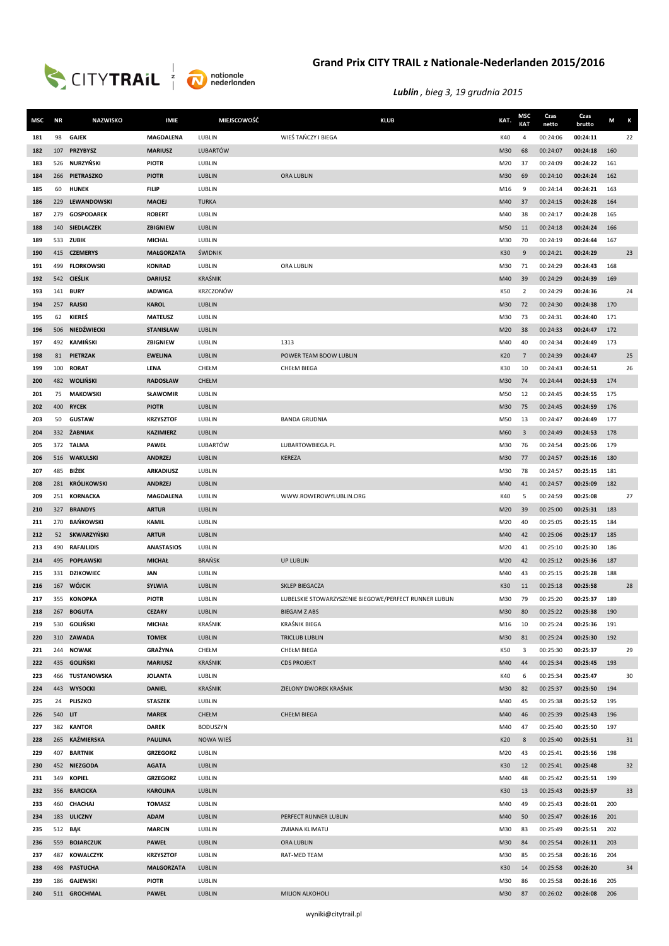



| MSC        | <b>NR</b> | <b>NAZWISKO</b>         | <b>IMIE</b>             | <b>MIEJSCOWOŚĆ</b> | <b>KLUB</b>                                            | KAT.       | MSC<br><b>KAT</b> | Czas<br>netto        | Czas<br>brutto       | M   | К  |
|------------|-----------|-------------------------|-------------------------|--------------------|--------------------------------------------------------|------------|-------------------|----------------------|----------------------|-----|----|
| 181        | 98        | <b>GAJEK</b>            | <b>MAGDALENA</b>        | LUBLIN             | WIEŚ TAŃCZY I BIEGA                                    | K40        | $\overline{a}$    | 00:24:06             | 00:24:11             |     | 22 |
| 182        |           | 107 PRZYBYSZ            | <b>MARIUSZ</b>          | <b>LUBARTÓW</b>    |                                                        | M30        | 68                | 00:24:07             | 00:24:18             | 160 |    |
| 183        |           | 526 NURZYŃSKI           | <b>PIOTR</b>            | LUBLIN             |                                                        | M20        | 37                | 00:24:09             | 00:24:22             | 161 |    |
| 184        | 266       | PIETRASZKO              | <b>PIOTR</b>            | LUBLIN             | ORA LUBLIN                                             | M30        | 69                | 00:24:10             | 00:24:24             | 162 |    |
| 185        | 60        | <b>HUNEK</b>            | <b>FILIP</b>            | LUBLIN             |                                                        | M16        | 9                 | 00:24:14             | 00:24:21             | 163 |    |
| 186        | 229       | <b>LEWANDOWSKI</b>      | <b>MACIEJ</b>           | <b>TURKA</b>       |                                                        | M40        | 37                | 00:24:15             | 00:24:28             | 164 |    |
| 187        | 279       | <b>GOSPODAREK</b>       | <b>ROBERT</b>           | LUBLIN             |                                                        | M40        | 38                | 00:24:17             | 00:24:28             | 165 |    |
| 188        |           | 140 SIEDLACZEK          | ZBIGNIEW                | LUBLIN             |                                                        | M50        | 11                | 00:24:18             | 00:24:24             | 166 |    |
| 189        |           | 533 ZUBIK               | <b>MICHAL</b>           | LUBLIN             |                                                        | M30        | 70                | 00:24:19             | 00:24:44             | 167 |    |
| 190        |           | 415 CZEMERYS            | <b>MAŁGORZATA</b>       | ŚWIDNIK            |                                                        | K30        | 9                 | 00:24:21             | 00:24:29             |     | 23 |
| 191        | 499       | <b>FLORKOWSKI</b>       | <b>KONRAD</b>           | LUBLIN             | ORA LUBLIN                                             | M30        | 71                | 00:24:29             | 00:24:43             | 168 |    |
| 192        |           | 542 CIEŚLIK             | <b>DARIUSZ</b>          | <b>KRAŚNIK</b>     |                                                        | M40        | 39                | 00:24:29             | 00:24:39             | 169 |    |
| 193        |           | 141 <b>BURY</b>         | <b>JADWIGA</b>          | KRZCZONÓW          |                                                        | K50        | $\overline{2}$    | 00:24:29             | 00:24:36             |     | 24 |
| 194        |           | 257 RAJSKI              | <b>KAROL</b>            | LUBLIN             |                                                        | M30        | 72                | 00:24:30             | 00:24:38             | 170 |    |
| 195        | 62        | KIEREŚ                  | <b>MATEUSZ</b>          | LUBLIN             |                                                        | M30        | 73                | 00:24:31             | 00:24:40             | 171 |    |
| 196        | 506       | NIEDŹWIECKI             | <b>STANISŁAW</b>        | LUBLIN             |                                                        | M20        | 38                | 00:24:33             | 00:24:47             | 172 |    |
| 197        | 492       | KAMIŃSKI                | ZBIGNIEW                | LUBLIN             | 1313                                                   | M40        | 40                | 00:24:34             | 00:24:49             | 173 |    |
| 198        | 81        | PIETRZAK                | <b>EWELINA</b>          | LUBLIN             | POWER TEAM BDOW LUBLIN                                 | K20        | $\overline{7}$    | 00:24:39             | 00:24:47             |     | 25 |
| 199        |           | 100 RORAT               | LENA                    | CHEŁM              | <b>CHEŁM BIEGA</b>                                     | K30        | 10                | 00:24:43             | 00:24:51             |     | 26 |
| 200        |           | 482 WOLIŃSKI            | <b>RADOSŁAW</b>         | CHEŁM              |                                                        | M30        | 74                | 00:24:44             | 00:24:53             | 174 |    |
| 201        | 75        | <b>MAKOWSKI</b>         | <b>SŁAWOMIR</b>         | LUBLIN             |                                                        | M50        | 12                | 00:24:45             | 00:24:55             | 175 |    |
| 202        |           | 400 RYCEK               | <b>PIOTR</b>            | LUBLIN             |                                                        | M30        | 75                | 00:24:45             | 00:24:59             | 176 |    |
| 203        | 50        | <b>GUSTAW</b>           | <b>KRZYSZTOF</b>        | LUBLIN             | <b>BANDA GRUDNIA</b>                                   | M50        | 13                | 00:24:47             | 00:24:49             | 177 |    |
| 204        |           | 332 ŻABNIAK             | <b>KAZIMIERZ</b>        | LUBLIN             |                                                        | M60        | $\overline{3}$    | 00:24:49             | 00:24:53             | 178 |    |
| 205        |           | 372 TALMA               | <b>PAWEŁ</b>            | LUBARTÓW           | LUBARTOWBIEGA.PL                                       | M30        | 76                | 00:24:54             | 00:25:06             | 179 |    |
| 206        |           | 516 WAKULSKI            | <b>ANDRZEJ</b>          | LUBLIN             | <b>KEREZA</b>                                          | M30        | 77                | 00:24:57             | 00:25:16             | 180 |    |
| 207        | 485       | BIŻEK                   | <b>ARKADIUSZ</b>        | LUBLIN             |                                                        | M30        | 78                | 00:24:57             | 00:25:15             | 181 |    |
| 208        |           | 281 KRÓLIKOWSKI         | <b>ANDRZEJ</b>          | LUBLIN             |                                                        | M40        | 41                | 00:24:57             | 00:25:09             | 182 |    |
| 209        |           | 251 KORNACKA            | <b>MAGDALENA</b>        | LUBLIN             | WWW.ROWEROWYLUBLIN.ORG                                 | K40        | 5                 | 00:24:59             | 00:25:08             |     | 27 |
| 210        | 327       | <b>BRANDYS</b>          | <b>ARTUR</b>            | LUBLIN             |                                                        | M20        | 39                | 00:25:00             | 00:25:31             | 183 |    |
| 211        | 270       | BAŃKOWSKI               | <b>KAMIL</b>            | LUBLIN             |                                                        | M20        | 40                | 00:25:05             | 00:25:15             | 184 |    |
| 212        | 52        | SKWARZYŃSKI             | <b>ARTUR</b>            | LUBLIN             |                                                        | M40        | 42                | 00:25:06             | 00:25:17             | 185 |    |
| 213        |           | 490 RAFAILIDIS          | <b>ANASTASIOS</b>       | LUBLIN             |                                                        | M20        | 41                | 00:25:10             | 00:25:30             | 186 |    |
| 214        | 495       | <b>POPŁAWSKI</b>        | <b>MICHAŁ</b>           | <b>BRANSK</b>      | <b>UP LUBLIN</b>                                       | M20        | 42                | 00:25:12             | 00:25:36             | 187 |    |
| 215        | 331       | <b>DZIKOWIEC</b>        | JAN                     | LUBLIN             |                                                        | M40        | 43                | 00:25:15             | 00:25:28             | 188 |    |
| 216        | 167       | WÓJCIK                  | <b>SYLWIA</b>           | LUBLIN             | SKLEP BIEGACZA                                         | K30        | 11                | 00:25:18             | 00:25:58             |     | 28 |
| 217        | 355       | KONOPKA                 | <b>PIOTR</b>            | LUBLIN             | LUBELSKIE STOWARZYSZENIE BIEGOWE/PERFECT RUNNER LUBLIN | M30        | 79                | 00:25:20             | 00:25:37             | 189 |    |
| 218        |           | 267 BOGUTA              | <b>CEZARY</b>           | LUBLIN             | BIEGAM Z ABS<br>KRAŚNIK BIEGA                          | M30        | 80                | 00:25:22             | 00:25:38             | 190 |    |
| 219        |           | 530 GOLIŃSKI            | <b>MICHAŁ</b>           | KRAŚNIK            |                                                        | M16        | 10                | 00:25:24             | 00:25:36             | 191 |    |
| 220<br>221 |           | 310 ZAWADA<br>244 NOWAK | <b>TOMEK</b><br>GRAŻYNA | LUBLIN<br>CHEŁM    | <b>TRICLUB LUBLIN</b><br>CHEŁM BIEGA                   | M30<br>K50 | 81<br>3           | 00:25:24<br>00:25:30 | 00:25:30<br>00:25:37 | 192 | 29 |
| 222        |           | 435 GOLIŃSKI            | <b>MARIUSZ</b>          | <b>KRAŚNIK</b>     | <b>CDS PROJEKT</b>                                     | M40        | 44                | 00:25:34             | 00:25:45             | 193 |    |
| 223        |           | 466 TUSTANOWSKA         | <b>JOLANTA</b>          | LUBLIN             |                                                        | K40        | 6                 | 00:25:34             | 00:25:47             |     | 30 |
| 224        |           | 443 WYSOCKI             | <b>DANIEL</b>           | <b>KRAŚNIK</b>     | ZIELONY DWOREK KRAŚNIK                                 | M30        | 82                | 00:25:37             | 00:25:50             | 194 |    |
| 225        | 24        | <b>PLISZKO</b>          | <b>STASZEK</b>          | LUBLIN             |                                                        | M40        | 45                | 00:25:38             | 00:25:52             | 195 |    |
| 226        | 540 LIT   |                         | <b>MAREK</b>            | CHEŁM              | <b>CHEŁM BIEGA</b>                                     | M40        | 46                | 00:25:39             | 00:25:43             | 196 |    |
| 227        |           | 382 KANTOR              | <b>DAREK</b>            | <b>BODUSZYN</b>    |                                                        | M40        | 47                | 00:25:40             | 00:25:50             | 197 |    |
| 228        |           | 265 KAŹMIERSKA          | <b>PAULINA</b>          | NOWA WIES          |                                                        | K20        | 8                 | 00:25:40             | 00:25:51             |     | 31 |
| 229        |           | 407 BARTNIK             | <b>GRZEGORZ</b>         | LUBLIN             |                                                        | M20        | 43                | 00:25:41             | 00:25:56             | 198 |    |
| 230        |           | 452 NIEZGODA            | <b>AGATA</b>            | LUBLIN             |                                                        | K30        | 12                | 00:25:41             | 00:25:48             |     | 32 |
| 231        |           | 349 KOPIEL              | <b>GRZEGORZ</b>         | LUBLIN             |                                                        | M40        | 48                | 00:25:42             | 00:25:51             | 199 |    |
| 232        |           | 356 BARCICKA            | <b>KAROLINA</b>         | LUBLIN             |                                                        | K30        | 13                | 00:25:43             | 00:25:57             |     | 33 |
| 233        |           | 460 CHACHAJ             | <b>TOMASZ</b>           | LUBLIN             |                                                        | M40        | 49                | 00:25:43             | 00:26:01             | 200 |    |
| 234        |           | 183 ULICZNY             | <b>ADAM</b>             | LUBLIN             | PERFECT RUNNER LUBLIN                                  | M40        | 50                | 00:25:47             | 00:26:16             | 201 |    |
| 235        |           | 512 BAK                 | <b>MARCIN</b>           | LUBLIN             | ZMIANA KLIMATU                                         | M30        | 83                | 00:25:49             | 00:25:51             | 202 |    |
| 236        |           | 559 BOJARCZUK           | <b>PAWEŁ</b>            | LUBLIN             | ORA LUBLIN                                             | M30        | 84                | 00:25:54             | 00:26:11             | 203 |    |
| 237        | 487       | <b>KOWALCZYK</b>        | <b>KRZYSZTOF</b>        | LUBLIN             | RAT-MED TEAM                                           | M30        | 85                | 00:25:58             | 00:26:16             | 204 |    |
| 238        |           | 498 PASTUCHA            | <b>MALGORZATA</b>       | LUBLIN             |                                                        | K30        | 14                | 00:25:58             | 00:26:20             |     | 34 |
| 239        |           | 186 GAJEWSKI            | <b>PIOTR</b>            | LUBLIN             |                                                        | M30        | 86                | 00:25:58             | 00:26:16             | 205 |    |
| 240        |           | 511 GROCHMAL            | <b>PAWEŁ</b>            | LUBLIN             | <b>MILION ALKOHOLI</b>                                 | M30        | 87                | 00:26:02             | 00:26:08             | 206 |    |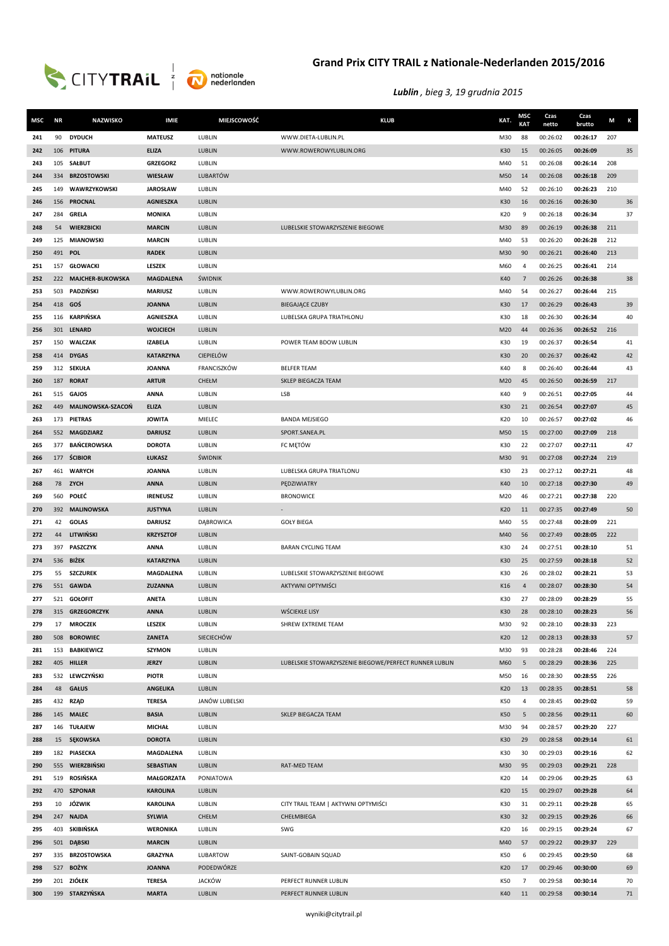



| MSC        | <b>NR</b> | <b>NAZWISKO</b>                     | <b>IMIE</b>                     | MIEJSCOWOŚĆ                 | <b>KLUB</b>                                            | KAT.       | <b>MSC</b><br>KAT | Czas<br>netto        | Czas<br>brutto       | М   | K        |
|------------|-----------|-------------------------------------|---------------------------------|-----------------------------|--------------------------------------------------------|------------|-------------------|----------------------|----------------------|-----|----------|
| 241        | 90        | <b>DYDUCH</b>                       | <b>MATEUSZ</b>                  | LUBLIN                      | WWW.DIETA-LUBLIN.PL                                    | M30        | 88                | 00:26:02             | 00:26:17             | 207 |          |
| 242        |           | 106 PITURA                          | <b>ELIZA</b>                    | LUBLIN                      | WWW.ROWEROWYLUBLIN.ORG                                 | K30        | 15                | 00:26:05             | 00:26:09             |     | 35       |
| 243        |           | 105 SAŁBUT                          | <b>GRZEGORZ</b>                 | LUBLIN                      |                                                        | M40        | 51                | 00:26:08             | 00:26:14             | 208 |          |
| 244        | 334       | <b>BRZOSTOWSKI</b>                  | WIESŁAW                         | <b>LUBARTÓW</b>             |                                                        | M50        | 14                | 00:26:08             | 00:26:18             | 209 |          |
| 245        | 149       | WAWRZYKOWSKI                        | <b>JAROSŁAW</b>                 | LUBLIN                      |                                                        | M40        | 52                | 00:26:10             | 00:26:23             | 210 |          |
| 246        | 156       | PROCNAL                             | <b>AGNIESZKA</b>                | LUBLIN                      |                                                        | K30        | 16                | 00:26:16             | 00:26:30             |     | 36       |
| 247        |           | 284 GRELA                           | <b>MONIKA</b>                   | LUBLIN                      |                                                        | K20        | 9                 | 00:26:18             | 00:26:34             |     | 37       |
| 248        | 54        | WIERZBICKI                          | <b>MARCIN</b>                   | LUBLIN                      | LUBELSKIE STOWARZYSZENIE BIEGOWE                       | M30        | 89                | 00:26:19             | 00:26:38             | 211 |          |
| 249        | 125       | <b>MIANOWSKI</b>                    | <b>MARCIN</b>                   | LUBLIN                      |                                                        | M40        | 53                | 00:26:20             | 00:26:28             | 212 |          |
| 250        |           | 491 POL                             | <b>RADEK</b>                    | <b>LUBLIN</b>               |                                                        | M30        | 90                | 00:26:21             | 00:26:40             | 213 |          |
| 251        |           | 157 GŁOWACKI                        | LESZEK                          | LUBLIN                      |                                                        | M60        | 4                 | 00:26:25             | 00:26:41             | 214 |          |
| 252        |           | 222 MAJCHER-BUKOWSKA                | <b>MAGDALENA</b>                | ŚWIDNIK                     |                                                        | K40        | $\overline{7}$    | 00:26:26             | 00:26:38             |     | 38       |
| 253        | 503       | PADZIŃSKI                           | <b>MARIUSZ</b>                  | LUBLIN                      | WWW.ROWEROWYLUBLIN.ORG                                 | M40        | 54                | 00:26:27             | 00:26:44             | 215 |          |
| 254        |           | 418 GOS                             | <b>JOANNA</b>                   | LUBLIN                      | <b>BIEGAJĄCE CZUBY</b>                                 | K30        | 17                | 00:26:29             | 00:26:43             |     | 39       |
| 255        |           | 116 KARPIŃSKA                       | <b>AGNIESZKA</b>                | LUBLIN                      | LUBELSKA GRUPA TRIATHLONU                              | K30        | 18                | 00:26:30             | 00:26:34             |     | 40       |
| 256        |           | 301 LENARD                          | <b>WOJCIECH</b>                 | <b>LUBLIN</b>               |                                                        | M20        | 44                | 00:26:36             | 00:26:52             | 216 |          |
| 257        |           | 150 WALCZAK                         | <b>IZABELA</b>                  | LUBLIN                      | POWER TEAM BDOW LUBLIN                                 | K30        | 19                | 00:26:37             | 00:26:54             |     | 41       |
| 258        |           | 414 DYGAS                           | <b>KATARZYNA</b>                | <b>CIEPIELÓW</b>            |                                                        | K30        | 20                | 00:26:37             | 00:26:42             |     | 42       |
| 259        |           | 312 SEKUŁA                          | <b>JOANNA</b>                   | FRANCISZKÓW                 | <b>BELFER TEAM</b>                                     | K40        | 8                 | 00:26:40             | 00:26:44             |     | 43       |
| 260        | 187       | <b>RORAT</b>                        | <b>ARTUR</b>                    | CHEŁM                       | SKLEP BIEGACZA TEAM                                    | M20        | 45                | 00:26:50             | 00:26:59             | 217 |          |
| 261        | 515       | <b>GAJOS</b>                        | <b>ANNA</b>                     | LUBLIN                      | <b>LSB</b>                                             | K40        | 9                 | 00:26:51             | 00:27:05             |     | 44       |
| 262        | 449       | <b>MALINOWSKA-SZACOŃ</b>            | <b>ELIZA</b>                    | LUBLIN                      |                                                        | K30        | 21                | 00:26:54             | 00:27:07             |     | 45       |
| 263        | 552       | 173 PIETRAS<br><b>MAGDZIARZ</b>     | <b>JOWITA</b><br><b>DARIUSZ</b> | MIELEC<br>LUBLIN            | <b>BANDA MEJSIEGO</b>                                  | K20        | 10<br>15          | 00:26:57<br>00:27:00 | 00:27:02<br>00:27:09 | 218 | 46       |
| 264<br>265 | 377       | <b>BAŃCEROWSKA</b>                  | <b>DOROTA</b>                   | LUBLIN                      | SPORT.SANEA.PL<br>FC MĘTÓW                             | M50<br>K30 | 22                | 00:27:07             | 00:27:11             |     | 47       |
| 266        |           | 177 <b>ŚCIBIOR</b>                  | ŁUKASZ                          | ŚWIDNIK                     |                                                        | M30        | 91                | 00:27:08             | 00:27:24             | 219 |          |
| 267        |           | 461 WARYCH                          | <b>JOANNA</b>                   | LUBLIN                      | LUBELSKA GRUPA TRIATLONU                               | K30        | 23                | 00:27:12             | 00:27:21             |     | 48       |
| 268        |           | 78 ZYCH                             | <b>ANNA</b>                     | <b>LUBLIN</b>               | PĘDZIWIATRY                                            | K40        | 10                | 00:27:18             | 00:27:30             |     | 49       |
| 269        | 560       | POŁEĆ                               | <b>IRENEUSZ</b>                 | LUBLIN                      | <b>BRONOWICE</b>                                       | M20        | 46                | 00:27:21             | 00:27:38             | 220 |          |
| 270        | 392       | <b>MALINOWSKA</b>                   | <b>JUSTYNA</b>                  | <b>LUBLIN</b>               |                                                        | K20        | 11                | 00:27:35             | 00:27:49             |     | 50       |
| 271        | 42        | <b>GOLAS</b>                        | <b>DARIUSZ</b>                  | <b>DABROWICA</b>            | <b>GOŁY BIEGA</b>                                      | M40        | 55                | 00:27:48             | 00:28:09             | 221 |          |
| 272        | 44        | LITWIŃSKI                           | <b>KRZYSZTOF</b>                | LUBLIN                      |                                                        | M40        | 56                | 00:27:49             | 00:28:05             | 222 |          |
| 273        |           | 397 PASZCZYK                        | <b>ANNA</b>                     | LUBLIN                      | <b>BARAN CYCLING TEAM</b>                              | K30        | 24                | 00:27:51             | 00:28:10             |     | 51       |
| 274        |           | 536 BIŻEK                           | <b>KATARZYNA</b>                | LUBLIN                      |                                                        | K30        | 25                | 00:27:59             | 00:28:18             |     | 52       |
| 275        | 55        | <b>SZCZUREK</b>                     | <b>MAGDALENA</b>                | LUBLIN                      | LUBELSKIE STOWARZYSZENIE BIEGOWE                       | K30        | 26                | 00:28:02             | 00:28:21             |     | 53       |
| 276        |           | 551 GAWDA                           | <b>ZUZANNA</b>                  | <b>LUBLIN</b>               | AKTYWNI OPTYMIŚCI                                      | K16        | $\overline{4}$    | 00:28:07             | 00:28:30             |     | 54       |
| 277        |           | 521 GOŁOFIT                         | <b>ANETA</b>                    | LUBLIN                      |                                                        | K30        | 27                | 00:28:09             | 00:28:29             |     | 55       |
| 278        |           | 315 GRZEGORCZYK                     | <b>ANNA</b>                     | LUBLIN                      | WŚCIEKŁE LISY                                          | K30        | 28                | 00:28:10             | 00:28:23             |     | 56       |
| 279        | 17        | <b>MROCZEK</b>                      | LESZEK                          | LUBLIN                      | SHREW EXTREME TEAM                                     | M30        | 92                | 00:28:10             | 00:28:33             | 223 |          |
| 280        | 508       | <b>BOROWIEC</b>                     | ZANETA                          | <b>SIECIECHÓW</b>           |                                                        | K20        | 12                | 00:28:13             | 00:28:33             |     | 57       |
| 281        |           | 153 BABKIEWICZ                      | SZYMON                          | LUBLIN                      |                                                        | M30        | 93                | 00:28:28             | 00:28:46             | 224 |          |
| 282        |           | 405 HILLER                          | <b>JERZY</b>                    | LUBLIN                      | LUBELSKIE STOWARZYSZENIE BIEGOWE/PERFECT RUNNER LUBLIN | M60        | 5                 | 00:28:29             | 00:28:36             | 225 |          |
| 283        |           | 532 LEWCZYŃSKI                      | <b>PIOTR</b>                    | LUBLIN                      |                                                        | M50        | 16                | 00:28:30             | 00:28:55             | 226 |          |
| 284        |           | 48 GAŁUS                            | <b>ANGELIKA</b>                 | LUBLIN                      |                                                        | K20        | 13                | 00:28:35             | 00:28:51             |     | 58       |
| 285        |           | 432 RZĄD                            | <b>TERESA</b>                   | JANÓW LUBELSKI              |                                                        | K50        | 4                 | 00:28:45             | 00:29:02             |     | 59       |
| 286        |           | 145 MALEC                           | <b>BASIA</b>                    | LUBLIN                      | SKLEP BIEGACZA TEAM                                    | K50        | 5                 | 00:28:56             | 00:29:11             |     | 60       |
| 287        |           | 146 TUŁAJEW                         | <b>MICHAŁ</b>                   | LUBLIN                      |                                                        | M30        | 94                | 00:28:57             | 00:29:20             | 227 |          |
| 288        |           | 15 SEKOWSKA                         | <b>DOROTA</b>                   | LUBLIN                      |                                                        | K30        | 29                | 00:28:58             | 00:29:14             |     | 61       |
| 289        |           | 182 PIASECKA                        | MAGDALENA                       | LUBLIN                      |                                                        | K30        | 30                | 00:29:03             | 00:29:16             |     | 62       |
| 290        |           | 555 WIERZBIŃSKI                     | <b>SEBASTIAN</b>                | LUBLIN                      | RAT-MED TEAM                                           | M30        | 95                | 00:29:03             | 00:29:21             | 228 |          |
| 291        |           | 519 ROSIŃSKA                        | <b>MAŁGORZATA</b>               | PONIATOWA                   |                                                        | K20        | 14                | 00:29:06             | 00:29:25             |     | 63       |
| 292        |           | 470 SZPONAR                         | <b>KAROLINA</b>                 | LUBLIN                      |                                                        | K20        | 15                | 00:29:07             | 00:29:28             |     | 64       |
| 293        |           | 10 JÓZWIK                           | <b>KAROLINA</b>                 | LUBLIN                      | CITY TRAIL TEAM   AKTYWNI OPTYMIŚCI                    | K30        | 31                | 00:29:11             | 00:29:28             |     | 65       |
| 294        |           | 247 NAJDA                           | <b>SYLWIA</b>                   | CHEŁM                       | CHEŁMBIEGA                                             | K30        | 32                | 00:29:15             | 00:29:26             |     | 66       |
| 295        |           | 403 SKIBIŃSKA                       | <b>WERONIKA</b>                 | LUBLIN                      | SWG                                                    | K20        | 16                | 00:29:15             | 00:29:24             |     | 67       |
| 296        |           | 501 DĄBSKI                          | <b>MARCIN</b>                   | LUBLIN                      |                                                        | M40        | 57                | 00:29:22             | 00:29:37             | 229 |          |
| 297        |           | 335 BRZOSTOWSKA<br>527 <b>BOŻYK</b> | <b>GRAZYNA</b>                  | LUBARTOW                    | SAINT-GOBAIN SQUAD                                     | K50<br>K20 | 6<br>17           | 00:29:45             | 00:29:50             |     | 68       |
| 298        |           | 201 ZIÓŁEK                          | <b>JOANNA</b><br><b>TERESA</b>  | PODEDWÓRZE<br><b>JACKÓW</b> | PERFECT RUNNER LUBLIN                                  | K50        | 7                 | 00:29:46<br>00:29:58 | 00:30:00<br>00:30:14 |     | 69<br>70 |
| 299<br>300 |           | 199 STARZYŃSKA                      | <b>MARTA</b>                    | LUBLIN                      | PERFECT RUNNER LUBLIN                                  | K40        | 11                | 00:29:58             | 00:30:14             |     | 71       |
|            |           |                                     |                                 |                             |                                                        |            |                   |                      |                      |     |          |